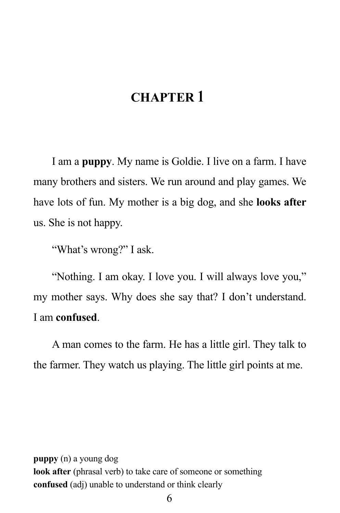### **CHAPTER 1**

I am a **puppy**. My name is Goldie. I live on a farm. I have many brothers and sisters. We run around and play games. We have lots of fun. My mother is a big dog, and she **looks after** us. She is not happy.

"What's wrong?" I ask.

"Nothing. I am okay. I love you. I will always love you," my mother says. Why does she say that? I don't understand. I am **confused**.

A man comes to the farm. He has a little girl. They talk to the farmer. They watch us playing. The little girl points at me.

**puppy** (n) a young dog **look after** (phrasal verb) to take care of someone or something **confused** (adj) unable to understand or think clearly

6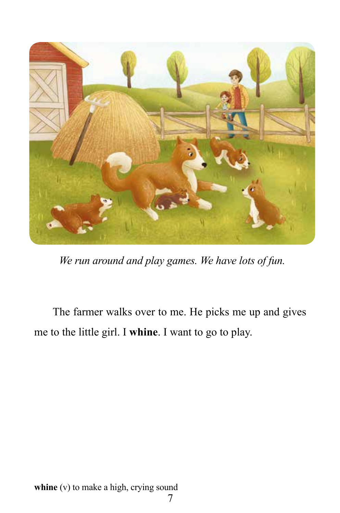

*We run around and play games. We have lots of fun.*

The farmer walks over to me. He picks me up and gives me to the little girl. I **whine**. I want to go to play.

whine (v) to make a high, crying sound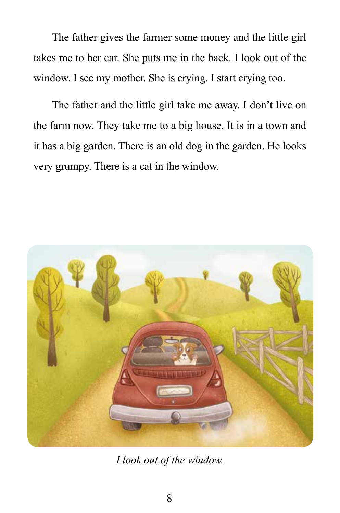The father gives the farmer some money and the little girl takes me to her car. She puts me in the back. I look out of the window. I see my mother. She is crying. I start crying too.

The father and the little girl take me away. I don't live on the farm now. They take me to a big house. It is in a town and it has a big garden. There is an old dog in the garden. He looks very grumpy. There is a cat in the window.



*I look out of the window.*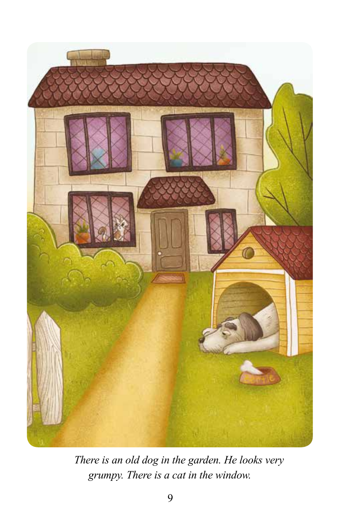

*There is an old dog in the garden. He looks very grumpy. There is a cat in the window.*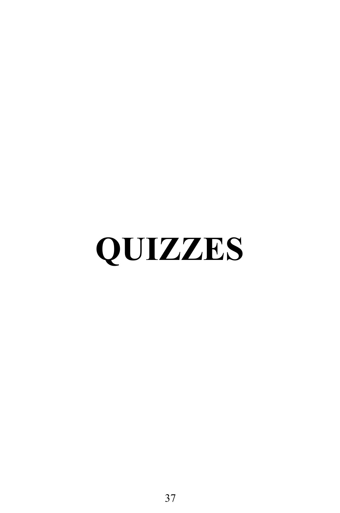# **QUIZZES**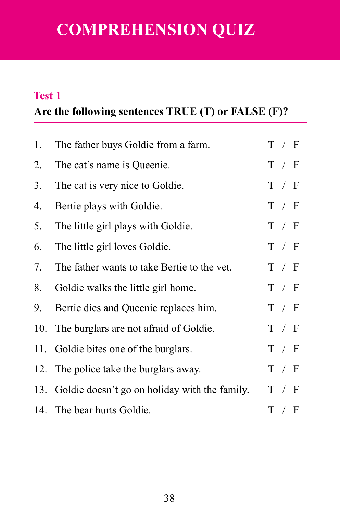# **COMPREHENSION QUIZ**

#### **Test 1**

### **Are the following sentences TRUE (T) or FALSE (F)?**

| 1. | The father buys Goldie from a farm.               | T / F |
|----|---------------------------------------------------|-------|
| 2. | The cat's name is Queenie.                        | T / F |
| 3. | The cat is very nice to Goldie.                   | T / F |
| 4. | Bertie plays with Goldie.                         | T / F |
| 5. | The little girl plays with Goldie.                | T / F |
| 6. | The little girl loves Goldie.                     | T / F |
| 7. | The father wants to take Bertie to the vet.       | T / F |
| 8. | Goldie walks the little girl home.                | T / F |
| 9. | Bertie dies and Queenie replaces him.             | T / F |
|    | 10. The burglars are not afraid of Goldie.        | T / F |
|    | 11. Goldie bites one of the burglars.             | T / F |
|    | 12. The police take the burglars away.            | T / F |
|    | 13. Goldie doesn't go on holiday with the family. | T / F |
|    | 14. The bear hurts Goldie.                        | T / F |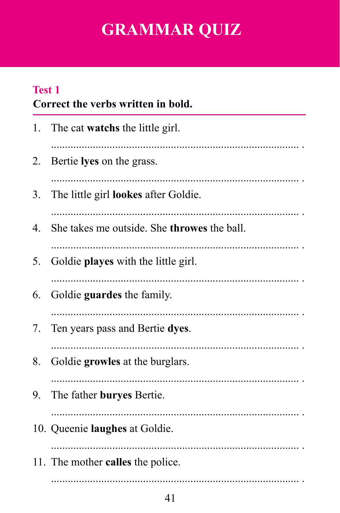# **GRAMMAR QUIZ**

### **Test 1**

### Correct the verbs written in bold.

|    | 1. The cat <b>watchs</b> the little girl.        |
|----|--------------------------------------------------|
| 2. | Bertie lyes on the grass.                        |
| 3. | The little girl <b>lookes</b> after Goldie.<br>. |
| 4. | She takes me outside. She throwes the ball.      |
| 5. | Goldie playes with the little girl.              |
| 6. | Goldie guardes the family.                       |
| 7. | Ten years pass and Bertie dyes.                  |
| 8. | Goldie growles at the burglars.                  |
| 9. | The father buryes Bertie.                        |
|    | 10. Queenie laughes at Goldie.                   |
|    | 11. The mother <b>calles</b> the police.         |
|    |                                                  |